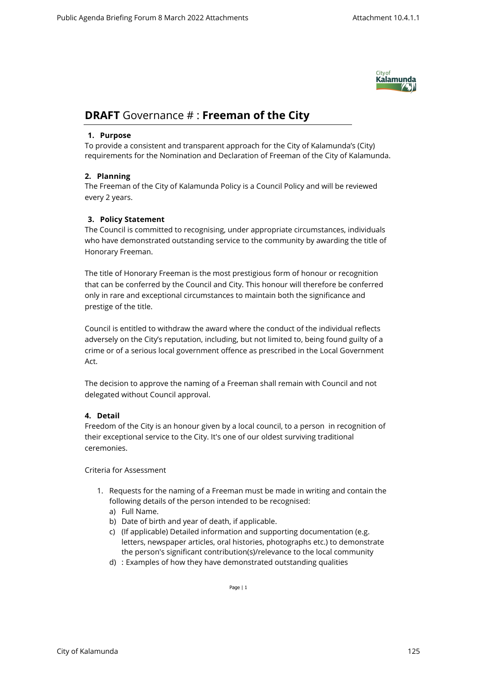

# **DRAFT** Governance # : **Freeman of the City**

## **1. Purpose**

To provide a consistent and transparent approach for the City of Kalamunda's (City) requirements for the Nomination and Declaration of Freeman of the City of Kalamunda.

# **2. Planning**

The Freeman of the City of Kalamunda Policy is a Council Policy and will be reviewed every 2 years.

# **3. Policy Statement**

The Council is committed to recognising, under appropriate circumstances, individuals who have demonstrated outstanding service to the community by awarding the title of Honorary Freeman.

The title of Honorary Freeman is the most prestigious form of honour or recognition that can be conferred by the Council and City. This honour will therefore be conferred only in rare and exceptional circumstances to maintain both the significance and prestige of the title.

Council is entitled to withdraw the award where the conduct of the individual reflects adversely on the City's reputation, including, but not limited to, being found guilty of a crime or of a serious local government offence as prescribed in the Local Government Act.

The decision to approve the naming of a Freeman shall remain with Council and not delegated without Council approval.

# **4. Detail**

Freedom of the City is an honour given by a local council, to a person in recognition of their exceptional service to the City. It's one of our oldest surviving traditional ceremonies.

## Criteria for Assessment

- 1. Requests for the naming of a Freeman must be made in writing and contain the following details of the person intended to be recognised:
	- a) Full Name.
	- b) Date of birth and year of death, if applicable.
	- c) (If applicable) Detailed information and supporting documentation (e.g. letters, newspaper articles, oral histories, photographs etc.) to demonstrate the person's significant contribution(s)/relevance to the local community
	- d) : Examples of how they have demonstrated outstanding qualities

Page | 1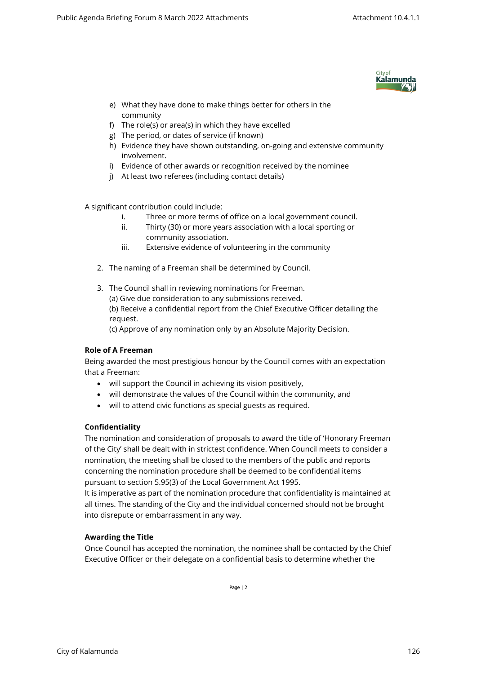

- e) What they have done to make things better for others in the community
- f) The role(s) or area(s) in which they have excelled
- g) The period, or dates of service (if known)
- h) Evidence they have shown outstanding, on-going and extensive community involvement.
- i) Evidence of other awards or recognition received by the nominee
- j) At least two referees (including contact details)

A significant contribution could include:

- i. Three or more terms of office on a local government council.
- ii. Thirty (30) or more years association with a local sporting or community association.
- iii. Extensive evidence of volunteering in the community
- 2. The naming of a Freeman shall be determined by Council.
- 3. The Council shall in reviewing nominations for Freeman. (a) Give due consideration to any submissions received. (b) Receive a confidential report from the Chief Executive Officer detailing the request.

(c) Approve of any nomination only by an Absolute Majority Decision.

## **Role of A Freeman**

Being awarded the most prestigious honour by the Council comes with an expectation that a Freeman:

- will support the Council in achieving its vision positively,
- will demonstrate the values of the Council within the community, and
- will to attend civic functions as special guests as required.

# **Confidentiality**

The nomination and consideration of proposals to award the title of 'Honorary Freeman of the City' shall be dealt with in strictest confidence. When Council meets to consider a nomination, the meeting shall be closed to the members of the public and reports concerning the nomination procedure shall be deemed to be confidential items pursuant to section 5.95(3) of the Local Government Act 1995.

It is imperative as part of the nomination procedure that confidentiality is maintained at all times. The standing of the City and the individual concerned should not be brought into disrepute or embarrassment in any way.

## **Awarding the Title**

Once Council has accepted the nomination, the nominee shall be contacted by the Chief Executive Officer or their delegate on a confidential basis to determine whether the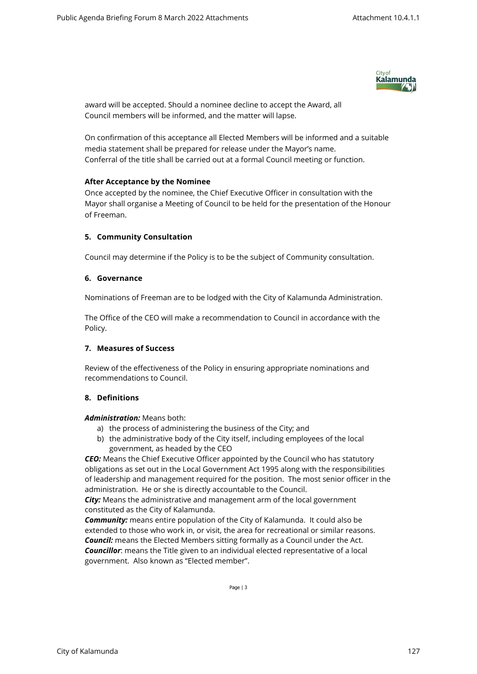

award will be accepted. Should a nominee decline to accept the Award, all Council members will be informed, and the matter will lapse.

On confirmation of this acceptance all Elected Members will be informed and a suitable media statement shall be prepared for release under the Mayor's name. Conferral of the title shall be carried out at a formal Council meeting or function.

#### **After Acceptance by the Nominee**

Once accepted by the nominee, the Chief Executive Officer in consultation with the Mayor shall organise a Meeting of Council to be held for the presentation of the Honour of Freeman.

## **5. Community Consultation**

Council may determine if the Policy is to be the subject of Community consultation.

#### **6. Governance**

Nominations of Freeman are to be lodged with the City of Kalamunda Administration.

The Office of the CEO will make a recommendation to Council in accordance with the Policy.

#### **7. Measures of Success**

Review of the effectiveness of the Policy in ensuring appropriate nominations and recommendations to Council.

## **8. Definitions**

#### *Administration:* Means both:

- a) the process of administering the business of the City; and
- b) the administrative body of the City itself, including employees of the local government, as headed by the CEO

*CEO:* Means the Chief Executive Officer appointed by the Council who has statutory obligations as set out in the Local Government Act 1995 along with the responsibilities of leadership and management required for the position. The most senior officer in the administration. He or she is directly accountable to the Council.

*City:* Means the administrative and management arm of the local government constituted as the City of Kalamunda.

*Community:* means entire population of the City of Kalamunda. It could also be extended to those who work in, or visit, the area for recreational or similar reasons. *Council:* means the Elected Members sitting formally as a Council under the Act. *Councillor*: means the Title given to an individual elected representative of a local government. Also known as "Elected member".